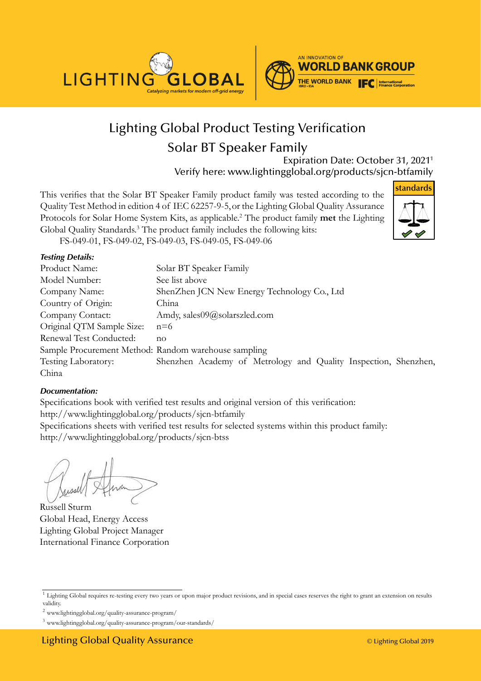



# Lighting Global Product Testing Verification [Solar BT Speaker Family](DBF_PRODUCT)

Expiration Date: [October 31, 20211](DBF_END-DATE) Verify here: www.lightingglobal.org/products/[sjcn-btfamily](DBF_REFERENCE)

This verifies that the [Solar BT Speaker Family](DBF_PRODUCT) product family was tested according to the Quality Test Method in edition 4 of IEC 62257-9-5,or the Lighting Global Quality Assurance Protocols for Solar Home System Kits, as applicable.<sup>2</sup> The product family **met** the Lighting Global Quality Standards.<sup>3</sup> The product family includes the following kits:



FS-049-01, [FS-049-02, FS-049-03, FS-049-05, FS-049-06](DBF_VerifiedKits)

#### *Testing Details:*

| Product Name:                                        | Solar BT Speaker Family                                         |
|------------------------------------------------------|-----------------------------------------------------------------|
| Model Number:                                        | See list above                                                  |
| Company Name:                                        | ShenZhen JCN New Energy Technology Co., Ltd                     |
| Country of Origin:                                   | China                                                           |
| Company Contact:                                     | Amdy, sales09@solarszled.com                                    |
| Original QTM Sample Size:                            | $n=6$                                                           |
| Renewal Test Conducted:                              | $n_{\Omega}$                                                    |
| Sample Procurement Method: Random warehouse sampling |                                                                 |
| Testing Laboratory:                                  | Shenzhen Academy of Metrology and Quality Inspection, Shenzhen, |
| China                                                |                                                                 |

#### *Documentation:*

Specifications book with verified test results and original version of this verification: http://www.lightingglobal.org/products[/sjcn-btfamily](DBF_REFERENCE) Specifications sheets with verified test results for selected systems within this product family: http://www.lightingglobal.org/products[/sjcn-btss](DBF_URL of verified kit 1)

Russell Sturm Global Head, Energy Access Lighting Global Project Manager International Finance Corporation

<sup>&</sup>lt;sup>1</sup> Lighting Global requires re-testing every two years or upon major product revisions, and in special cases reserves the right to grant an extension on results validity.

<sup>2</sup> www.lightingglobal.org/quality-assurance-program/

<sup>3</sup> www.lightingglobal.org/quality-assurance-program/our-standards/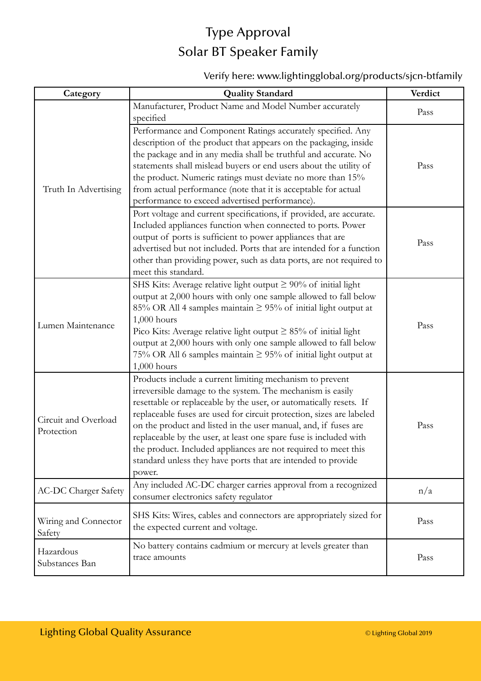## Type Approval [Solar BT Speaker Family](DBF_PRODUCT)

#### Verify here: www.lightingglobal.org/products/[sjcn-btfamily](DBF_REFERENCE)

| Category                           | <b>Quality Standard</b>                                                                                                                                                                                                                                                                                                                                                                                                                                                                                                                                  | Verdict |
|------------------------------------|----------------------------------------------------------------------------------------------------------------------------------------------------------------------------------------------------------------------------------------------------------------------------------------------------------------------------------------------------------------------------------------------------------------------------------------------------------------------------------------------------------------------------------------------------------|---------|
| Truth In Advertising               | Manufacturer, Product Name and Model Number accurately<br>specified                                                                                                                                                                                                                                                                                                                                                                                                                                                                                      | Pass    |
|                                    | Performance and Component Ratings accurately specified. Any<br>description of the product that appears on the packaging, inside<br>the package and in any media shall be truthful and accurate. No<br>statements shall mislead buyers or end users about the utility of<br>the product. Numeric ratings must deviate no more than 15%<br>from actual performance (note that it is acceptable for actual<br>performance to exceed advertised performance).                                                                                                | Pass    |
|                                    | Port voltage and current specifications, if provided, are accurate.<br>Included appliances function when connected to ports. Power<br>output of ports is sufficient to power appliances that are<br>advertised but not included. Ports that are intended for a function<br>other than providing power, such as data ports, are not required to<br>meet this standard.                                                                                                                                                                                    | Pass    |
| Lumen Maintenance                  | SHS Kits: Average relative light output $\geq 90\%$ of initial light<br>output at 2,000 hours with only one sample allowed to fall below<br>85% OR All 4 samples maintain $\geq$ 95% of initial light output at<br>$1,000$ hours<br>Pico Kits: Average relative light output $\geq 85\%$ of initial light<br>output at 2,000 hours with only one sample allowed to fall below<br>75% OR All 6 samples maintain $\geq$ 95% of initial light output at<br>1,000 hours                                                                                      | Pass    |
| Circuit and Overload<br>Protection | Products include a current limiting mechanism to prevent<br>irreversible damage to the system. The mechanism is easily<br>resettable or replaceable by the user, or automatically resets. If<br>replaceable fuses are used for circuit protection, sizes are labeled<br>on the product and listed in the user manual, and, if fuses are<br>replaceable by the user, at least one spare fuse is included with<br>the product. Included appliances are not required to meet this<br>standard unless they have ports that are intended to provide<br>power. | Pass    |
| <b>AC-DC Charger Safety</b>        | Any included AC-DC charger carries approval from a recognized<br>consumer electronics safety regulator                                                                                                                                                                                                                                                                                                                                                                                                                                                   | n/a     |
| Wiring and Connector<br>Safety     | SHS Kits: Wires, cables and connectors are appropriately sized for<br>the expected current and voltage.                                                                                                                                                                                                                                                                                                                                                                                                                                                  | Pass    |
| Hazardous<br>Substances Ban        | No battery contains cadmium or mercury at levels greater than<br>trace amounts                                                                                                                                                                                                                                                                                                                                                                                                                                                                           | Pass    |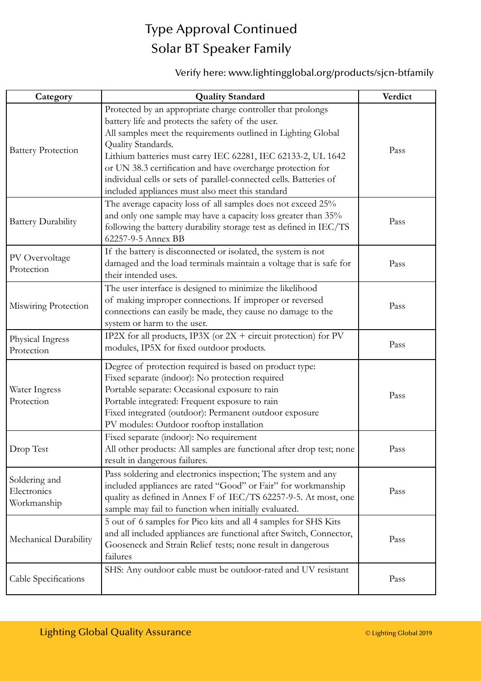## Type Approval Continued [Solar BT Speaker Family](DBF_PRODUCT)

#### Verify here: www.lightingglobal.org/products/[sjcn-btfamily](DBF_REFERENCE)

| Category                                    | <b>Quality Standard</b>                                                                                                                                                                                                                                                                                                                                                                                                                                          | Verdict |
|---------------------------------------------|------------------------------------------------------------------------------------------------------------------------------------------------------------------------------------------------------------------------------------------------------------------------------------------------------------------------------------------------------------------------------------------------------------------------------------------------------------------|---------|
| <b>Battery Protection</b>                   | Protected by an appropriate charge controller that prolongs<br>battery life and protects the safety of the user.<br>All samples meet the requirements outlined in Lighting Global<br>Quality Standards.<br>Lithium batteries must carry IEC 62281, IEC 62133-2, UL 1642<br>or UN 38.3 certification and have overcharge protection for<br>individual cells or sets of parallel-connected cells. Batteries of<br>included appliances must also meet this standard | Pass    |
| <b>Battery Durability</b>                   | The average capacity loss of all samples does not exceed 25%<br>and only one sample may have a capacity loss greater than 35%<br>following the battery durability storage test as defined in IEC/TS<br>62257-9-5 Annex BB                                                                                                                                                                                                                                        | Pass    |
| PV Overvoltage<br>Protection                | If the battery is disconnected or isolated, the system is not<br>damaged and the load terminals maintain a voltage that is safe for<br>their intended uses.                                                                                                                                                                                                                                                                                                      | Pass    |
| Miswiring Protection                        | The user interface is designed to minimize the likelihood<br>of making improper connections. If improper or reversed<br>connections can easily be made, they cause no damage to the<br>system or harm to the user.                                                                                                                                                                                                                                               | Pass    |
| Physical Ingress<br>Protection              | IP2X for all products, IP3X (or $2X +$ circuit protection) for PV<br>modules, IP5X for fixed outdoor products.                                                                                                                                                                                                                                                                                                                                                   | Pass    |
| Water Ingress<br>Protection                 | Degree of protection required is based on product type:<br>Fixed separate (indoor): No protection required<br>Portable separate: Occasional exposure to rain<br>Portable integrated: Frequent exposure to rain<br>Fixed integrated (outdoor): Permanent outdoor exposure<br>PV modules: Outdoor rooftop installation                                                                                                                                             | Pass    |
| Drop Test                                   | Fixed separate (indoor): No requirement<br>All other products: All samples are functional after drop test; none<br>result in dangerous failures.                                                                                                                                                                                                                                                                                                                 | Pass    |
| Soldering and<br>Electronics<br>Workmanship | Pass soldering and electronics inspection; The system and any<br>included appliances are rated "Good" or Fair" for workmanship<br>quality as defined in Annex F of IEC/TS 62257-9-5. At most, one<br>sample may fail to function when initially evaluated.                                                                                                                                                                                                       | Pass    |
| Mechanical Durability                       | 5 out of 6 samples for Pico kits and all 4 samples for SHS Kits<br>and all included appliances are functional after Switch, Connector,<br>Gooseneck and Strain Relief tests; none result in dangerous<br>failures                                                                                                                                                                                                                                                | Pass    |
| Cable Specifications                        | SHS: Any outdoor cable must be outdoor-rated and UV resistant                                                                                                                                                                                                                                                                                                                                                                                                    | Pass    |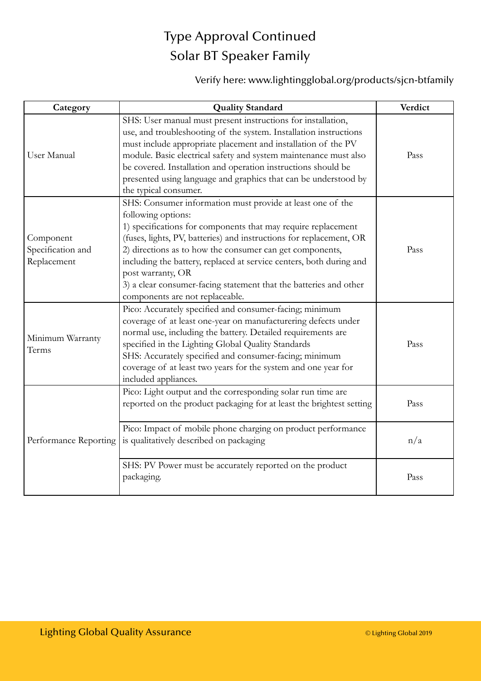## Type Approval Continued [Solar BT Speaker Family](DBF_PRODUCT)

### Verify here: www.lightingglobal.org/products[/sjcn-btfamily](DBF_REFERENCE)

| Category                                      | <b>Quality Standard</b>                                                                                                                                                                                                                                                                                                                                                                                                                                                                  | Verdict |
|-----------------------------------------------|------------------------------------------------------------------------------------------------------------------------------------------------------------------------------------------------------------------------------------------------------------------------------------------------------------------------------------------------------------------------------------------------------------------------------------------------------------------------------------------|---------|
| User Manual                                   | SHS: User manual must present instructions for installation,<br>use, and troubleshooting of the system. Installation instructions<br>must include appropriate placement and installation of the PV<br>module. Basic electrical safety and system maintenance must also<br>be covered. Installation and operation instructions should be<br>presented using language and graphics that can be understood by<br>the typical consumer.                                                      | Pass    |
| Component<br>Specification and<br>Replacement | SHS: Consumer information must provide at least one of the<br>following options:<br>1) specifications for components that may require replacement<br>(fuses, lights, PV, batteries) and instructions for replacement, OR<br>2) directions as to how the consumer can get components,<br>including the battery, replaced at service centers, both during and<br>post warranty, OR<br>3) a clear consumer-facing statement that the batteries and other<br>components are not replaceable. | Pass    |
| Minimum Warranty<br>Terms                     | Pico: Accurately specified and consumer-facing; minimum<br>coverage of at least one-year on manufacturering defects under<br>normal use, including the battery. Detailed requirements are<br>specified in the Lighting Global Quality Standards<br>SHS: Accurately specified and consumer-facing; minimum<br>coverage of at least two years for the system and one year for<br>included appliances.                                                                                      | Pass    |
| Performance Reporting                         | Pico: Light output and the corresponding solar run time are<br>reported on the product packaging for at least the brightest setting                                                                                                                                                                                                                                                                                                                                                      | Pass    |
|                                               | Pico: Impact of mobile phone charging on product performance<br>is qualitatively described on packaging                                                                                                                                                                                                                                                                                                                                                                                  | n/a     |
|                                               | SHS: PV Power must be accurately reported on the product<br>packaging.                                                                                                                                                                                                                                                                                                                                                                                                                   | Pass    |